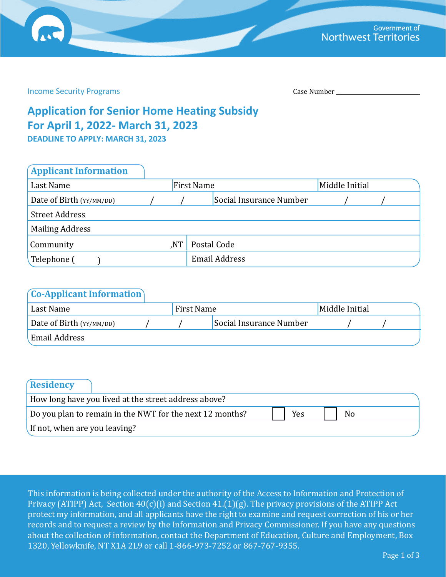Income Security Programs Case Number 2014

# **Application for Senior Home Heating Subsidy For April 1, 2022- March 31, 2023**

**DEADLINE TO APPLY: MARCH 31, 2023**

| <b>Applicant Information</b> |     |                   |                         |                |  |
|------------------------------|-----|-------------------|-------------------------|----------------|--|
| Last Name                    |     | <b>First Name</b> |                         | Middle Initial |  |
| Date of Birth (YY/MM/DD)     |     |                   | Social Insurance Number |                |  |
| <b>Street Address</b>        |     |                   |                         |                |  |
| <b>Mailing Address</b>       |     |                   |                         |                |  |
| Community                    | NT, |                   | Postal Code             |                |  |
| Telephone (                  |     |                   | <b>Email Address</b>    |                |  |

| $($ Co-Applicant Information $)$ |            |                         |                |  |
|----------------------------------|------------|-------------------------|----------------|--|
| Last Name                        | First Name |                         | Middle Initial |  |
| Date of Birth (YY/MM/DD)         |            | Social Insurance Number |                |  |
| Email Address                    |            |                         |                |  |

| Residency                     |                                                          |     |                |  |
|-------------------------------|----------------------------------------------------------|-----|----------------|--|
|                               | How long have you lived at the street address above?     |     |                |  |
|                               | Do you plan to remain in the NWT for the next 12 months? | Yes | N <sub>o</sub> |  |
| If not, when are you leaving? |                                                          |     |                |  |

This information is being collected under the authority of the Access to Information and Protection of Privacy (ATIPP) Act, Section 40(c)(i) and Section 41.(1)(g). The privacy provisions of the ATIPP Act protect my information, and all applicants have the right to examine and request correction of his or her records and to request a review by the Information and Privacy Commissioner. If you have any questions about the collection of information, contact the Department of Education, Culture and Employment, Box 1320, Yellowknife, NT X1A 2L9 or call 1-866-973-7252 or 867-767-9355.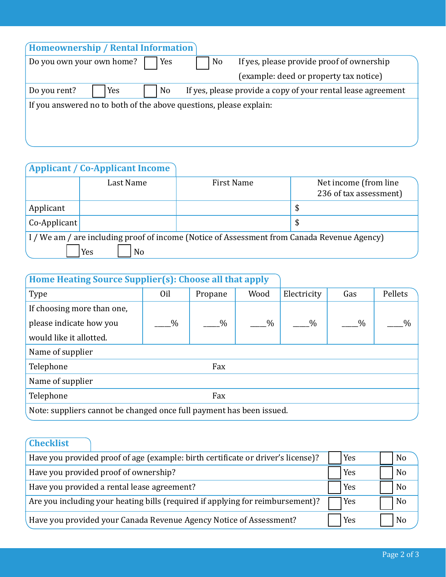| Homeownership / Rental Information                                 |
|--------------------------------------------------------------------|
| If yes, please provide proof of ownership<br>No                    |
| (example: deed or property tax notice)                             |
| If yes, please provide a copy of your rental lease agreement       |
| If you answered no to both of the above questions, please explain: |
|                                                                    |
|                                                                    |
|                                                                    |

## **Applicant / Co-Applicant Income**

|                 | Last Name | <b>First Name</b>                                                                           | Net income (from line<br>236 of tax assessment) |
|-----------------|-----------|---------------------------------------------------------------------------------------------|-------------------------------------------------|
| Applicant       |           |                                                                                             | \$                                              |
| $Co$ -Applicant |           |                                                                                             | \$                                              |
|                 |           | I / We am / are including proof of income (Notice of Assessment from Canada Revenue Agency) |                                                 |
|                 | No<br>Yes |                                                                                             |                                                 |

## **Home Heating Source Supplier(s): Choose all that apply**

| Type                                                                 | 0 <sub>il</sub> | Propane       | Wood          | Electricity   | Gas  | Pellets       |  |  |
|----------------------------------------------------------------------|-----------------|---------------|---------------|---------------|------|---------------|--|--|
| If choosing more than one,                                           |                 |               |               |               |      |               |  |  |
| please indicate how you                                              | $\%$            | $\frac{0}{0}$ | $\frac{0}{0}$ | $\frac{0}{0}$ | $\%$ | $\frac{0}{0}$ |  |  |
| would like it allotted.                                              |                 |               |               |               |      |               |  |  |
| Name of supplier                                                     |                 |               |               |               |      |               |  |  |
| Telephone<br>Fax                                                     |                 |               |               |               |      |               |  |  |
| Name of supplier                                                     |                 |               |               |               |      |               |  |  |
| Telephone<br>Fax                                                     |                 |               |               |               |      |               |  |  |
| Note: suppliers cannot be changed once full payment has been issued. |                 |               |               |               |      |               |  |  |
|                                                                      |                 |               |               |               |      |               |  |  |

## **Checklist**

| Have you provided proof of age (example: birth certificate or driver's license)? | Yes | N <sub>0</sub> |
|----------------------------------------------------------------------------------|-----|----------------|
| Have you provided proof of ownership?                                            | Yes | N <sub>0</sub> |
| Have you provided a rental lease agreement?                                      | Yes | N <sub>o</sub> |
| Are you including your heating bills (required if applying for reimbursement)?   | Yes | N <sub>o</sub> |
| Have you provided your Canada Revenue Agency Notice of Assessment?               | Yes | No             |